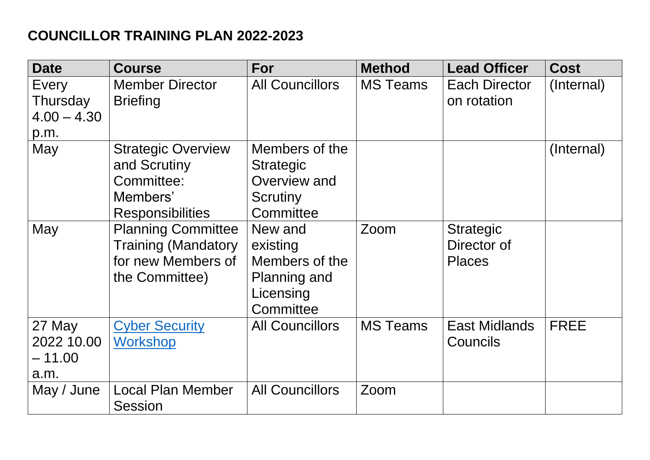## **COUNCILLOR TRAINING PLAN 2022-2023**

| <b>Date</b>                                | <b>Course</b>                                                                                   | For                                                                             | <b>Method</b>   | <b>Lead Officer</b>                              | <b>Cost</b> |
|--------------------------------------------|-------------------------------------------------------------------------------------------------|---------------------------------------------------------------------------------|-----------------|--------------------------------------------------|-------------|
| Every<br>Thursday<br>$4.00 - 4.30$<br>p.m. | <b>Member Director</b><br><b>Briefing</b>                                                       | <b>All Councillors</b>                                                          | <b>MS Teams</b> | Each Director<br>on rotation                     | (Internal)  |
| May                                        | <b>Strategic Overview</b><br>and Scrutiny<br>Committee:<br>Members'<br><b>Responsibilities</b>  | Members of the<br><b>Strategic</b><br>Overview and<br>Scrutiny<br>Committee     |                 |                                                  | (Internal)  |
| May                                        | <b>Planning Committee</b><br><b>Training (Mandatory</b><br>for new Members of<br>the Committee) | New and<br>existing<br>Members of the<br>Planning and<br>Licensing<br>Committee | Zoom            | <b>Strategic</b><br>Director of<br><b>Places</b> |             |
| 27 May<br>2022 10.00<br>$-11.00$<br>a.m.   | <b>Cyber Security</b><br><b>Workshop</b>                                                        | <b>All Councillors</b>                                                          | <b>MS Teams</b> | <b>East Midlands</b><br><b>Councils</b>          | <b>FREE</b> |
| May / June                                 | <b>Local Plan Member</b><br><b>Session</b>                                                      | <b>All Councillors</b>                                                          | Zoom            |                                                  |             |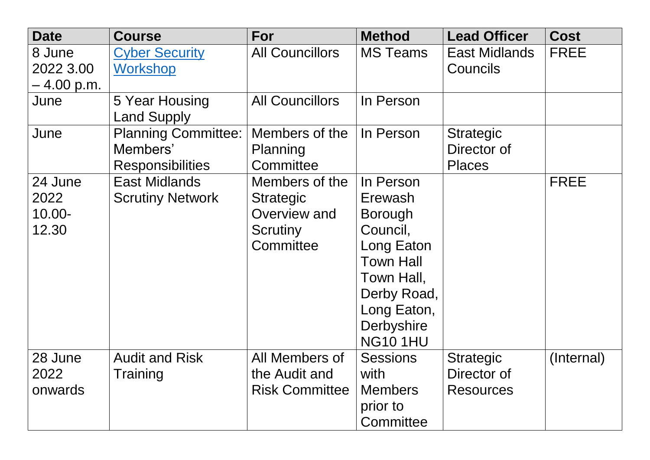| <b>Date</b>                           | <b>Course</b>                                                     | For                                                                                | <b>Method</b>                                                                                                                                                    | <b>Lead Officer</b>                                 | <b>Cost</b> |
|---------------------------------------|-------------------------------------------------------------------|------------------------------------------------------------------------------------|------------------------------------------------------------------------------------------------------------------------------------------------------------------|-----------------------------------------------------|-------------|
| 8 June<br>2022 3.00<br>– 4.00 p.m.    | <b>Cyber Security</b><br><b>Workshop</b>                          | <b>All Councillors</b>                                                             | <b>MS Teams</b>                                                                                                                                                  | <b>East Midlands</b><br><b>Councils</b>             | <b>FREE</b> |
| June                                  | 5 Year Housing<br><b>Land Supply</b>                              | <b>All Councillors</b>                                                             | In Person                                                                                                                                                        |                                                     |             |
| June                                  | <b>Planning Committee:</b><br>Members'<br><b>Responsibilities</b> | Members of the<br>Planning<br>Committee                                            | In Person                                                                                                                                                        | <b>Strategic</b><br>Director of<br><b>Places</b>    |             |
| 24 June<br>2022<br>$10.00 -$<br>12.30 | <b>East Midlands</b><br><b>Scrutiny Network</b>                   | Members of the<br><b>Strategic</b><br>Overview and<br><b>Scrutiny</b><br>Committee | In Person<br>Erewash<br><b>Borough</b><br>Council,<br>Long Eaton<br><b>Town Hall</b><br>Town Hall,<br>Derby Road,<br>Long Eaton,<br>Derbyshire<br><b>NG101HU</b> |                                                     | <b>FREE</b> |
| 28 June<br>2022<br>onwards            | <b>Audit and Risk</b><br>Training                                 | All Members of<br>the Audit and<br><b>Risk Committee</b>                           | <b>Sessions</b><br>with<br><b>Members</b><br>prior to<br>Committee                                                                                               | <b>Strategic</b><br>Director of<br><b>Resources</b> | (Internal)  |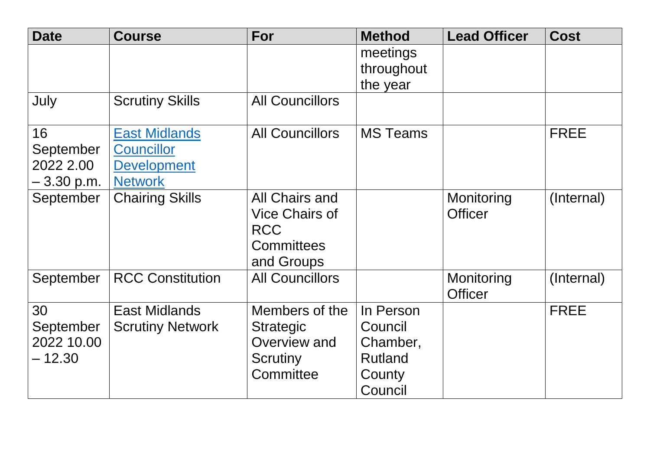| <b>Date</b> | <b>Course</b>           | For                    | <b>Method</b>          | <b>Lead Officer</b> | <b>Cost</b> |
|-------------|-------------------------|------------------------|------------------------|---------------------|-------------|
|             |                         |                        | meetings               |                     |             |
|             |                         |                        | throughout<br>the year |                     |             |
| July        | <b>Scrutiny Skills</b>  | <b>All Councillors</b> |                        |                     |             |
| 16          | <b>East Midlands</b>    | <b>All Councillors</b> | <b>MS Teams</b>        |                     | <b>FREE</b> |
| September   | <b>Councillor</b>       |                        |                        |                     |             |
| 2022 2.00   | <b>Development</b>      |                        |                        |                     |             |
| – 3.30 p.m. | <b>Network</b>          |                        |                        |                     |             |
| September   | <b>Chairing Skills</b>  | All Chairs and         |                        | Monitoring          | (Internal)  |
|             |                         | <b>Vice Chairs of</b>  |                        | <b>Officer</b>      |             |
|             |                         | <b>RCC</b>             |                        |                     |             |
|             |                         | <b>Committees</b>      |                        |                     |             |
|             |                         | and Groups             |                        |                     |             |
| September   | <b>RCC Constitution</b> | <b>All Councillors</b> |                        | Monitoring          | (Internal)  |
|             |                         |                        |                        | <b>Officer</b>      |             |
| 30          | <b>East Midlands</b>    | Members of the         | In Person              |                     | <b>FREE</b> |
| September   | <b>Scrutiny Network</b> | <b>Strategic</b>       | Council                |                     |             |
| 2022 10.00  |                         | Overview and           | Chamber,               |                     |             |
| $-12.30$    |                         | <b>Scrutiny</b>        | <b>Rutland</b>         |                     |             |
|             |                         | Committee              | County                 |                     |             |
|             |                         |                        | Council                |                     |             |